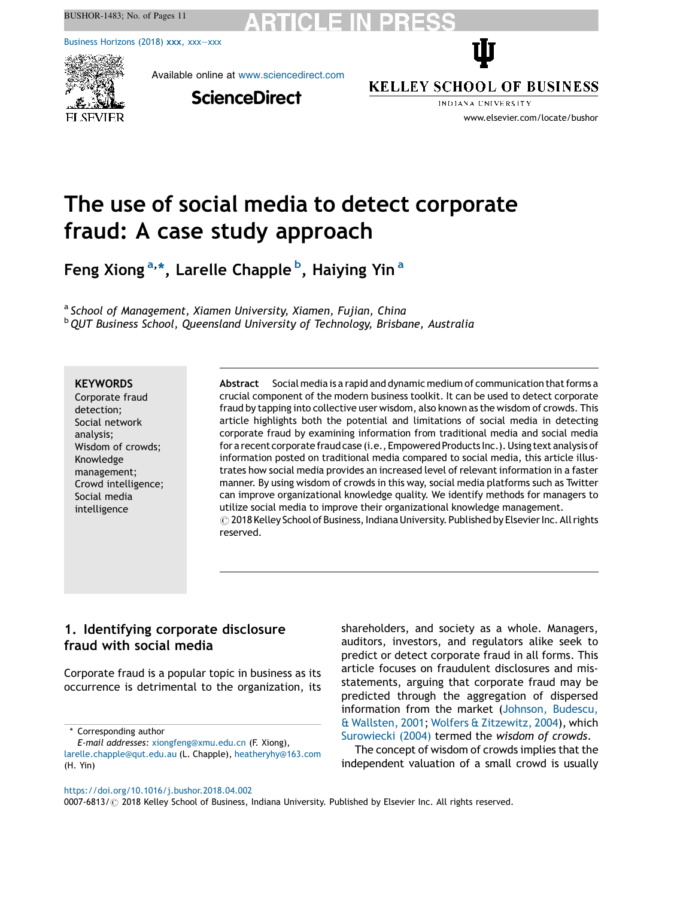$\mathcal{B}$ 

Business [Horizons](https://doi.org/10.1016/j.bushor.2018.04.002) (2018) xxx, xxx—xxx



Available online at [www.sciencedirect.com](http://www.sciencedirect.com/science/journal/00076813)

**KELLEY SCHOOL OF BUSINESS INDIANA UNIVERSITY** 

TİI

**ScienceDirect** 

www.elsevier.com/locate/bushor

# The use of social media to detect corporate fraud: A case study approach

Feng Xiong<sup>a,\*</sup>, Larelle Chapple<sup>b</sup>, Haiying Yin<sup>a</sup>

<sup>a</sup> School of Management, Xiamen University, Xiamen, Fujian, China <sup>b</sup> QUT Business School, Queensland University of Technology, Brisbane, Australia

#### **KEYWORDS**

Corporate fraud detection; Social network analysis; Wisdom of crowds; Knowledge management; Crowd intelligence; Social media intelligence

Abstract Social media is a rapid and dynamic medium of communication that forms a crucial component of the modern business toolkit. It can be used to detect corporate fraud by tapping into collective user wisdom, also known as the wisdom of crowds. This article highlights both the potential and limitations of social media in detecting corporate fraud by examining information from traditional media and social media for a recent corporate fraud case (i.e., Empowered Products Inc.). Using text analysis of information posted on traditional media compared to social media, this article illustrates how social media provides an increased level of relevant information in a faster manner. By using wisdom of crowds in this way, social media platforms such as Twitter can improve organizational knowledge quality. We identify methods for managers to utilize social media to improve their organizational knowledge management. © 2018 Kelley School of Business, Indiana University. Published by Elsevier Inc. All rights reserved.

## 1. Identifying corporate disclosure fraud with social media

Corporate fraud is a popular topic in business as its occurrence is detrimental to the organization, its

\* Corresponding author

shareholders, and society as a whole. Managers, auditors, investors, and regulators alike seek to predict or detect corporate fraud in all forms. This article focuses on fraudulent disclosures and misstatements, arguing that corporate fraud may be predicted through the aggregation of dispersed information from the market (Johnson, [Budescu,](#page-10-0) & [Wallsten,](#page-10-0) 2001; Wolfers & [Zitzewitz,](#page-10-0) 2004), which [Surowiecki](#page-10-0) (2004) termed the wisdom of crowds.

The concept of wisdom of crowds implies that the independent valuation of a small crowd is usually

#### <https://doi.org/10.1016/j.bushor.2018.04.002>

0007-6813/  $\odot$  2018 Kelley School of Business, Indiana University. Published by Elsevier Inc. All rights reserved.

E-mail addresses: [xiongfeng@xmu.edu.cn](mailto:xiongfeng@xmu.edu.cn) (F. Xiong), [larelle.chapple@qut.edu.au](mailto:larelle.chapple@qut.edu.au) (L. Chapple), [heatheryhy@163.com](mailto:heatheryhy@163.com) (H. Yin)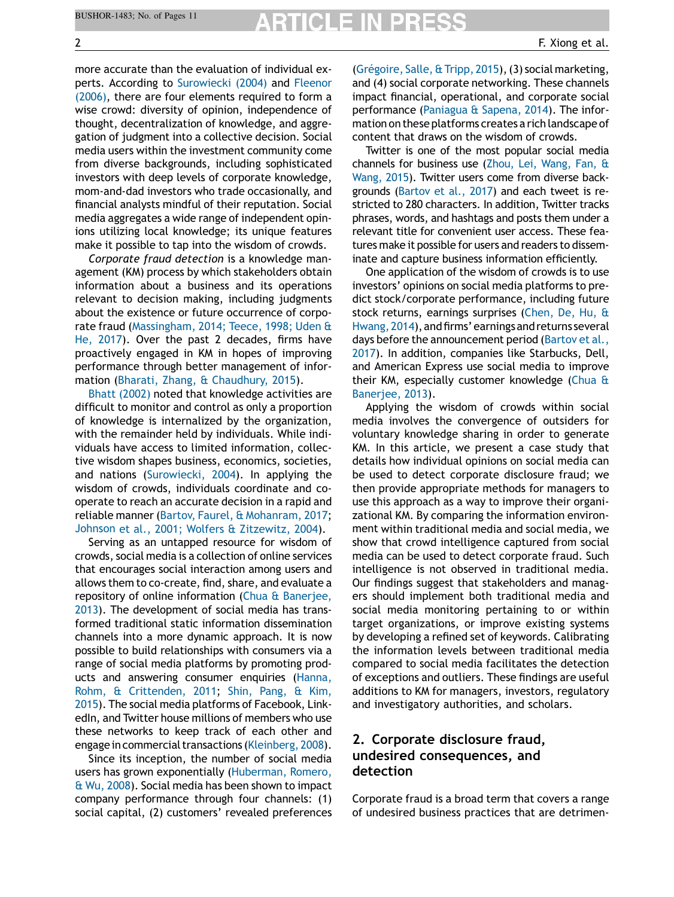more accurate than the evaluation of individual experts. According to [Surowiecki](#page-10-0) (2004) and [Fleenor](#page-9-0) [\(2006\)](#page-9-0), there are four elements required to form a wise crowd: diversity of opinion, independence of thought, decentralization of knowledge, and aggregation of judgment into a collective decision. Social media users within the investment community come from diverse backgrounds, including sophisticated investors with deep levels of corporate knowledge, mom-and-dad investors who trade occasionally, and financial analysts mindful of their reputation. Social media aggregates a wide range of independent opinions utilizing local knowledge; its unique features make it possible to tap into the wisdom of crowds.

Corporate fraud detection is a knowledge management (KM) process by which stakeholders obtain information about a business and its operations relevant to decision making, including judgments about the existence or future occurrence of corporate fraud ([Massingham,](#page-10-0) 2014; Teece, 1998; Uden & He, [2017\)](#page-10-0). Over the past 2 decades, firms have proactively engaged in KM in hopes of improving performance through better management of information (Bharati, Zhang, & [Chaudhury,](#page-9-0) 2015).

Bhatt [\(2002\)](#page-9-0) noted that knowledge activities are difficult to monitor and control as only a proportion of knowledge is internalized by the organization, with the remainder held by individuals. While individuals have access to limited information, collective wisdom shapes business, economics, societies, and nations [\(Surowiecki,](#page-10-0) 2004). In applying the wisdom of crowds, individuals coordinate and cooperate to reach an accurate decision in a rapid and reliable manner(Bartov, Faurel, & [Mohanram,](#page-9-0) 2017; Johnson et al., 2001; Wolfers & [Zitzewitz,](#page-10-0) 2004).

Serving as an untapped resource for wisdom of crowds, social media is a collection of online services that encourages social interaction among users and allows them to co-create, find, share, and evaluate a repository of online information (Chua & [Banerjee,](#page-9-0) [2013\)](#page-9-0). The development of social media has transformed traditional static information dissemination channels into a more dynamic approach. It is now possible to build relationships with consumers via a range of social media platforms by promoting products and answering consumer enquiries [\(Hanna,](#page-10-0) Rohm, & [Crittenden,](#page-10-0) 2011; Shin, [Pang,](#page-10-0) & Kim, [2015\)](#page-10-0). The social media platforms of Facebook, LinkedIn, and Twitter house millions of members who use these networks to keep track of each other and engage in commercial transactions [\(Kleinberg,](#page-10-0) 2008).

Since its inception, the number of social media users has grown exponentially ([Huberman,](#page-10-0) Romero, & Wu, [2008](#page-10-0)). Social media has been shown to impact company performance through four channels: (1) social capital, (2) customers' revealed preferences [\(Grégoire,](#page-10-0) Salle, & Tripp, 2015),(3) social marketing, and (4) social corporate networking. These channels impact financial, operational, and corporate social performance [\(Paniagua](#page-10-0) & Sapena, 2014). The information on these platforms creates a rich landscape of content that draws on the wisdom of crowds.

Twitter is one of the most popular social media channels for business use (Zhou, Lei, [Wang,](#page-10-0) Fan, & [Wang,](#page-10-0) 2015). Twitter users come from diverse backgrounds [\(Bartov](#page-9-0) et al., 2017) and each tweet is restricted to 280 characters. In addition, Twitter tracks phrases, words, and hashtags and posts them under a relevant title for convenient user access. These features make it possible for users and readers to disseminate and capture business information efficiently.

One application of the wisdom of crowds is to use investors' opinions on social media platforms to predict stock/corporate performance, including future stock returns, earnings surprises [\(Chen,](#page-9-0) De, Hu, & [Hwang, 2014](#page-9-0)), and firms' earnings and returns several days before the announcement period [\(Bartov](#page-9-0) et al., [2017](#page-9-0)). In addition, companies like Starbucks, Dell, and American Express use social media to improve their KM, especially customer knowledge [\(Chua](#page-9-0) & [Banerjee,](#page-9-0) 2013).

Applying the wisdom of crowds within social media involves the convergence of outsiders for voluntary knowledge sharing in order to generate KM. In this article, we present a case study that details how individual opinions on social media can be used to detect corporate disclosure fraud; we then provide appropriate methods for managers to use this approach as a way to improve their organizational KM. By comparing the information environment within traditional media and social media, we show that crowd intelligence captured from social media can be used to detect corporate fraud. Such intelligence is not observed in traditional media. Our findings suggest that stakeholders and managers should implement both traditional media and social media monitoring pertaining to or within target organizations, or improve existing systems by developing a refined set of keywords. Calibrating the information levels between traditional media compared to social media facilitates the detection of exceptions and outliers. These findings are useful additions to KM for managers, investors, regulatory and investigatory authorities, and scholars.

### 2. Corporate disclosure fraud, undesired consequences, and detection

Corporate fraud is a broad term that covers a range of undesired business practices that are detrimen-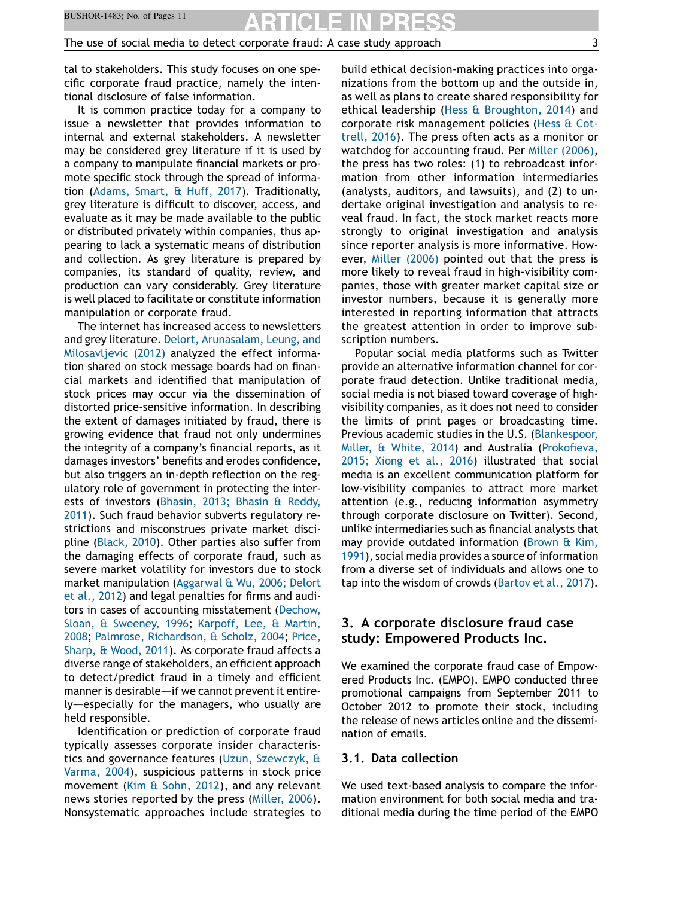### The use of social media to detect corporate fraud: A case study approach 3

tal to stakeholders. This study focuses on one specific corporate fraud practice, namely the intentional disclosure of false information.

It is common practice today for a company to issue a newsletter that provides information to internal and external stakeholders. A newsletter may be considered grey literature if it is used by a company to manipulate financial markets or promote specific stock through the spread of information [\(Adams,](#page-9-0) Smart, & Huff, 2017). Traditionally, grey literature is difficult to discover, access, and evaluate as it may be made available to the public or distributed privately within companies, thus appearing to lack a systematic means of distribution and collection. As grey literature is prepared by companies, its standard of quality, review, and production can vary considerably. Grey literature is well placed to facilitate or constitute information manipulation or corporate fraud.

The internet has increased access to newsletters and grey literature. Delort, [Arunasalam,](#page-9-0) Leung, and [Milosavljevic](#page-9-0) (2012) analyzed the effect information shared on stock message boards had on financial markets and identified that manipulation of stock prices may occur via the dissemination of distorted price-sensitive information. In describing the extent of damages initiated by fraud, there is growing evidence that fraud not only undermines the integrity of a company's financial reports, as it damages investors' benefits and erodes confidence, but also triggers an in-depth reflection on the regulatory role of government in protecting the interests of investors ([Bhasin,](#page-9-0) 2013; Bhasin & Reddy, [2011\)](#page-9-0). Such fraud behavior subverts regulatory restrictions and misconstrues private market discipline [\(Black,](#page-9-0) 2010). Other parties also suffer from the damaging effects of corporate fraud, such as severe market volatility for investors due to stock market manipulation [\(Aggarwal](#page-9-0) & Wu, 2006; Delort et al., [2012](#page-9-0)) and legal penalties for firms and auditors in cases of accounting misstatement ([Dechow,](#page-9-0) Sloan, & [Sweeney,](#page-9-0) 1996; [Karpoff,](#page-10-0) Lee, & Martin, [2008;](#page-10-0) Palmrose, [Richardson,](#page-10-0) & Scholz, 2004; [Price,](#page-10-0) [Sharp,](#page-10-0) & Wood, 2011). As corporate fraud affects a diverse range of stakeholders, an efficient approach to detect/predict fraud in a timely and efficient manner is desirable–—if we cannot prevent it entirely–—especially for the managers, who usually are held responsible.

Identification or prediction of corporate fraud typically assesses corporate insider characteristics and governance features (Uzun, [Szewczyk,](#page-10-0) & [Varma,](#page-10-0) 2004), suspicious patterns in stock price movement (Kim & [Sohn,](#page-10-0) 2012), and any relevant news stories reported by the press [\(Miller,](#page-10-0) 2006). Nonsystematic approaches include strategies to build ethical decision-making practices into organizations from the bottom up and the outside in, as well as plans to create shared responsibility for ethical leadership (Hess & [Broughton,](#page-10-0) 2014) and corporate risk management policies ([Hess](#page-10-0) & Cot[trell,](#page-10-0) 2016). The press often acts as a monitor or watchdog for accounting fraud. Per Miller [\(2006\)](#page-10-0), the press has two roles: (1) to rebroadcast information from other information intermediaries (analysts, auditors, and lawsuits), and (2) to undertake original investigation and analysis to reveal fraud. In fact, the stock market reacts more strongly to original investigation and analysis since reporter analysis is more informative. However, Miller [\(2006\)](#page-10-0) pointed out that the press is more likely to reveal fraud in high-visibility companies, those with greater market capital size or investor numbers, because it is generally more interested in reporting information that attracts the greatest attention in order to improve subscription numbers.

Popular social media platforms such as Twitter provide an alternative information channel for corporate fraud detection. Unlike traditional media, social media is not biased toward coverage of highvisibility companies, as it does not need to consider the limits of print pages or broadcasting time. Previous academic studies in the U.S. ([Blankespoor,](#page-9-0) Miller, & [White,](#page-9-0) 2014) and Australia [\(Proko](#page-10-0)fieva, [2015;](#page-10-0) Xiong et al., 2016) illustrated that social media is an excellent communication platform for low-visibility companies to attract more market attention (e.g., reducing information asymmetry through corporate disclosure on Twitter). Second, unlike intermediaries such as financial analysts that may provide outdated information ([Brown](#page-9-0) & Kim, [1991\)](#page-9-0), social media provides a source of information from a diverse set of individuals and allows one to tap into the wisdom of crowds [\(Bartov](#page-9-0) et al., 2017).

### 3. A corporate disclosure fraud case study: Empowered Products Inc.

We examined the corporate fraud case of Empowered Products Inc. (EMPO). EMPO conducted three promotional campaigns from September 2011 to October 2012 to promote their stock, including the release of news articles online and the dissemination of emails.

#### 3.1. Data collection

We used text-based analysis to compare the information environment for both social media and traditional media during the time period of the EMPO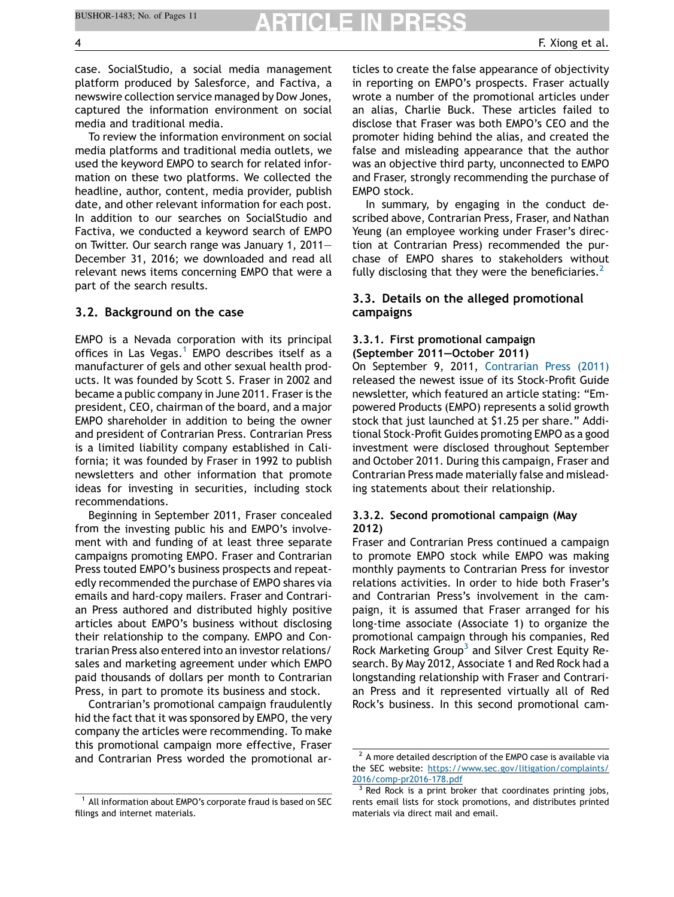case. SocialStudio, a social media management platform produced by Salesforce, and Factiva, a newswire collection service managed by Dow Jones, captured the information environment on social media and traditional media.

To review the information environment on social media platforms and traditional media outlets, we used the keyword EMPO to search for related information on these two platforms. We collected the headline, author, content, media provider, publish date, and other relevant information for each post. In addition to our searches on SocialStudio and Factiva, we conducted a keyword search of EMPO on Twitter. Our search range was January 1, 2011— December 31, 2016; we downloaded and read all relevant news items concerning EMPO that were a part of the search results.

#### 3.2. Background on the case

EMPO is a Nevada corporation with its principal offices in Las Vegas.<sup>1</sup> EMPO describes itself as a manufacturer of gels and other sexual health products. It was founded by Scott S. Fraser in 2002 and became a public company in June 2011. Fraser is the president, CEO, chairman of the board, and a major EMPO shareholder in addition to being the owner and president of Contrarian Press. Contrarian Press is a limited liability company established in California; it was founded by Fraser in 1992 to publish newsletters and other information that promote ideas for investing in securities, including stock recommendations.

Beginning in September 2011, Fraser concealed from the investing public his and EMPO's involvement with and funding of at least three separate campaigns promoting EMPO. Fraser and Contrarian Press touted EMPO's business prospects and repeatedly recommended the purchase of EMPO shares via emails and hard-copy mailers. Fraser and Contrarian Press authored and distributed highly positive articles about EMPO's business without disclosing their relationship to the company. EMPO and Contrarian Press also entered into an investor relations/ sales and marketing agreement under which EMPO paid thousands of dollars per month to Contrarian Press, in part to promote its business and stock.

Contrarian's promotional campaign fraudulently hid the fact that it was sponsored by EMPO, the very company the articles were recommending. To make this promotional campaign more effective, Fraser and Contrarian Press worded the promotional articles to create the false appearance of objectivity in reporting on EMPO's prospects. Fraser actually wrote a number of the promotional articles under an alias, Charlie Buck. These articles failed to disclose that Fraser was both EMPO's CEO and the promoter hiding behind the alias, and created the false and misleading appearance that the author was an objective third party, unconnected to EMPO and Fraser, strongly recommending the purchase of EMPO stock.

In summary, by engaging in the conduct described above, Contrarian Press, Fraser, and Nathan Yeung (an employee working under Fraser's direction at Contrarian Press) recommended the purchase of EMPO shares to stakeholders without fully disclosing that they were the beneficiaries.<sup>2</sup>

#### 3.3. Details on the alleged promotional campaigns

#### 3.3.1. First promotional campaign (September 2011—October 2011)

On September 9, 2011, [Contrarian](#page-9-0) Press (2011) released the newest issue of its Stock-Profit Guide newsletter, which featured an article stating: "Empowered Products (EMPO) represents a solid growth stock that just launched at \$1.25 per share." Additional Stock-Profit Guides promoting EMPO as a good investment were disclosed throughout September and October 2011. During this campaign, Fraser and Contrarian Press made materially false and misleading statements about their relationship.

#### 3.3.2. Second promotional campaign (May 2012)

Fraser and Contrarian Press continued a campaign to promote EMPO stock while EMPO was making monthly payments to Contrarian Press for investor relations activities. In order to hide both Fraser's and Contrarian Press's involvement in the campaign, it is assumed that Fraser arranged for his long-time associate (Associate 1) to organize the promotional campaign through his companies, Red Rock Marketing Group<sup>3</sup> and Silver Crest Equity Research. By May 2012, Associate 1 and Red Rock had a longstanding relationship with Fraser and Contrarian Press and it represented virtually all of Red Rock's business. In this second promotional cam-

 $1$  All information about EMPO's corporate fraud is based on SEC filings and internet materials.

 $2$  A more detailed description of the EMPO case is available via the SEC website: [https://www.sec.gov/litigation/complaints/](https://www.sec.gov/litigation/complaints/2016/comp-pr2016-178.pdf) [2016/comp-pr2016-178.pdf](https://www.sec.gov/litigation/complaints/2016/comp-pr2016-178.pdf)

 $3$  Red Rock is a print broker that coordinates printing jobs, rents email lists for stock promotions, and distributes printed materials via direct mail and email.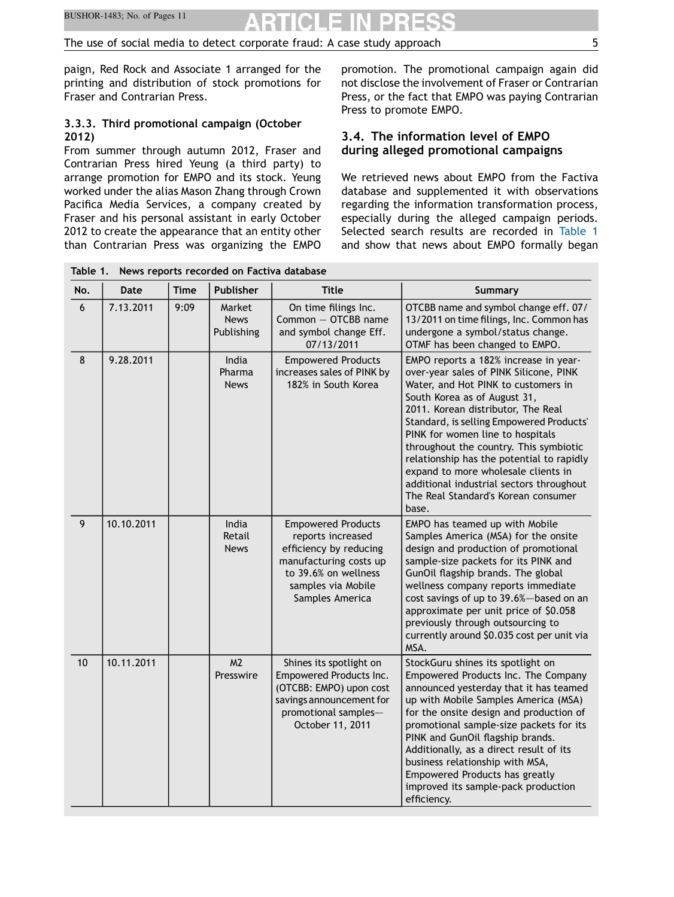### The use of social media to detect corporate fraud: A case study approach 5

paign, Red Rock and Associate 1 arranged for the printing and distribution of stock promotions for Fraser and Contrarian Press.

### 3.3.3. Third promotional campaign (October 2012)

From summer through autumn 2012, Fraser and Contrarian Press hired Yeung (a third party) to arrange promotion for EMPO and its stock. Yeung worked under the alias Mason Zhang through Crown Pacifica Media Services, a company created by Fraser and his personal assistant in early October 2012 to create the appearance that an entity other than Contrarian Press was organizing the EMPO promotion. The promotional campaign again did not disclose the involvement of Fraser or Contrarian Press, or the fact that EMPO was paying Contrarian Press to promote EMPO.

### 3.4. The information level of EMPO during alleged promotional campaigns

We retrieved news about EMPO from the Factiva database and supplemented it with observations regarding the information transformation process, especially during the alleged campaign periods. Selected search results are recorded in Table 1 and show that news about EMPO formally began

| No. | <b>Date</b> | <b>Time</b> | Publisher                           | <b>Title</b>                                                                                                                                                        | <b>Summary</b>                                                                                                                                                                                                                                                                                                                                                                                                                                                                                         |
|-----|-------------|-------------|-------------------------------------|---------------------------------------------------------------------------------------------------------------------------------------------------------------------|--------------------------------------------------------------------------------------------------------------------------------------------------------------------------------------------------------------------------------------------------------------------------------------------------------------------------------------------------------------------------------------------------------------------------------------------------------------------------------------------------------|
| 6   | 7.13.2011   | 9:09        | Market<br><b>News</b><br>Publishing | On time filings Inc.<br>Common - OTCBB name<br>and symbol change Eff.<br>07/13/2011                                                                                 | OTCBB name and symbol change eff. 07/<br>13/2011 on time filings, Inc. Common has<br>undergone a symbol/status change.<br>OTMF has been changed to EMPO.                                                                                                                                                                                                                                                                                                                                               |
| 8   | 9.28.2011   |             | India<br>Pharma<br><b>News</b>      | <b>Empowered Products</b><br>increases sales of PINK by<br>182% in South Korea                                                                                      | EMPO reports a 182% increase in year-<br>over-year sales of PINK Silicone, PINK<br>Water, and Hot PINK to customers in<br>South Korea as of August 31,<br>2011. Korean distributor, The Real<br>Standard, is selling Empowered Products'<br>PINK for women line to hospitals<br>throughout the country. This symbiotic<br>relationship has the potential to rapidly<br>expand to more wholesale clients in<br>additional industrial sectors throughout<br>The Real Standard's Korean consumer<br>base. |
| 9   | 10.10.2011  |             | India<br>Retail<br><b>News</b>      | <b>Empowered Products</b><br>reports increased<br>efficiency by reducing<br>manufacturing costs up<br>to 39.6% on wellness<br>samples via Mobile<br>Samples America | EMPO has teamed up with Mobile<br>Samples America (MSA) for the onsite<br>design and production of promotional<br>sample-size packets for its PINK and<br>GunOil flagship brands. The global<br>wellness company reports immediate<br>cost savings of up to 39.6%-based on an<br>approximate per unit price of \$0.058<br>previously through outsourcing to<br>currently around \$0.035 cost per unit via<br>MSA.                                                                                      |
| 10  | 10.11.2011  |             | M <sub>2</sub><br>Presswire         | Shines its spotlight on<br>Empowered Products Inc.<br>(OTCBB: EMPO) upon cost<br>savings announcement for<br>promotional samples-<br>October 11, 2011               | StockGuru shines its spotlight on<br>Empowered Products Inc. The Company<br>announced yesterday that it has teamed<br>up with Mobile Samples America (MSA)<br>for the onsite design and production of<br>promotional sample-size packets for its<br>PINK and GunOil flagship brands.<br>Additionally, as a direct result of its<br>business relationship with MSA,<br>Empowered Products has greatly<br>improved its sample-pack production<br>efficiency.                                             |

Table 1. News reports recorded on Factiva database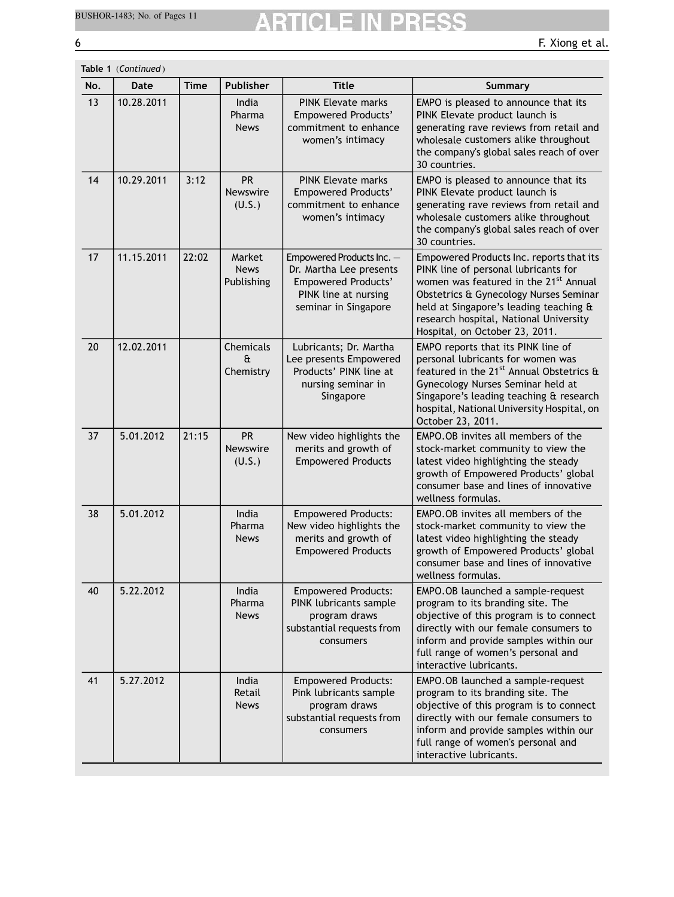# **ARTICLE IN PRESS**

| No. | Date       | Time  | <b>Publisher</b>                       | <b>Title</b>                                                                                                                | Summary                                                                                                                                                                                                                                                                                               |
|-----|------------|-------|----------------------------------------|-----------------------------------------------------------------------------------------------------------------------------|-------------------------------------------------------------------------------------------------------------------------------------------------------------------------------------------------------------------------------------------------------------------------------------------------------|
| 13  | 10.28.2011 |       | India<br>Pharma<br><b>News</b>         | <b>PINK Elevate marks</b><br>Empowered Products'<br>commitment to enhance<br>women's intimacy                               | EMPO is pleased to announce that its<br>PINK Elevate product launch is<br>generating rave reviews from retail and<br>wholesale customers alike throughout<br>the company's global sales reach of over<br>30 countries.                                                                                |
| 14  | 10.29.2011 | 3:12  | <b>PR</b><br>Newswire<br>(U.S.)        | <b>PINK Elevate marks</b><br>Empowered Products'<br>commitment to enhance<br>women's intimacy                               | EMPO is pleased to announce that its<br>PINK Elevate product launch is<br>generating rave reviews from retail and<br>wholesale customers alike throughout<br>the company's global sales reach of over<br>30 countries.                                                                                |
| 17  | 11.15.2011 | 22:02 | Market<br><b>News</b><br>Publishing    | Empowered Products Inc. -<br>Dr. Martha Lee presents<br>Empowered Products'<br>PINK line at nursing<br>seminar in Singapore | Empowered Products Inc. reports that its<br>PINK line of personal lubricants for<br>women was featured in the 21 <sup>st</sup> Annual<br>Obstetrics & Gynecology Nurses Seminar<br>held at Singapore's leading teaching &<br>research hospital, National University<br>Hospital, on October 23, 2011. |
| 20  | 12.02.2011 |       | Chemicals<br>$\mathbf{a}$<br>Chemistry | Lubricants; Dr. Martha<br>Lee presents Empowered<br>Products' PINK line at<br>nursing seminar in<br>Singapore               | EMPO reports that its PINK line of<br>personal lubricants for women was<br>featured in the 21 <sup>st</sup> Annual Obstetrics &<br>Gynecology Nurses Seminar held at<br>Singapore's leading teaching & research<br>hospital, National University Hospital, on<br>October 23, 2011.                    |
| 37  | 5.01.2012  | 21:15 | <b>PR</b><br>Newswire<br>(U.S.)        | New video highlights the<br>merits and growth of<br><b>Empowered Products</b>                                               | EMPO.OB invites all members of the<br>stock-market community to view the<br>latest video highlighting the steady<br>growth of Empowered Products' global<br>consumer base and lines of innovative<br>wellness formulas.                                                                               |
| 38  | 5.01.2012  |       | India<br>Pharma<br><b>News</b>         | <b>Empowered Products:</b><br>New video highlights the<br>merits and growth of<br><b>Empowered Products</b>                 | EMPO.OB invites all members of the<br>stock-market community to view the<br>latest video highlighting the steady<br>growth of Empowered Products' global<br>consumer base and lines of innovative<br>wellness formulas.                                                                               |
| 40  | 5.22.2012  |       | India<br>Pharma<br><b>News</b>         | <b>Empowered Products:</b><br>PINK lubricants sample<br>program draws<br>substantial requests from<br>consumers             | EMPO.OB launched a sample-request<br>program to its branding site. The<br>objective of this program is to connect<br>directly with our female consumers to<br>inform and provide samples within our<br>full range of women's personal and<br>interactive lubricants.                                  |
| 41  | 5.27.2012  |       | India<br>Retail<br><b>News</b>         | <b>Empowered Products:</b><br>Pink lubricants sample<br>program draws<br>substantial requests from<br>consumers             | EMPO.OB launched a sample-request<br>program to its branding site. The<br>objective of this program is to connect<br>directly with our female consumers to<br>inform and provide samples within our<br>full range of women's personal and<br>interactive lubricants.                                  |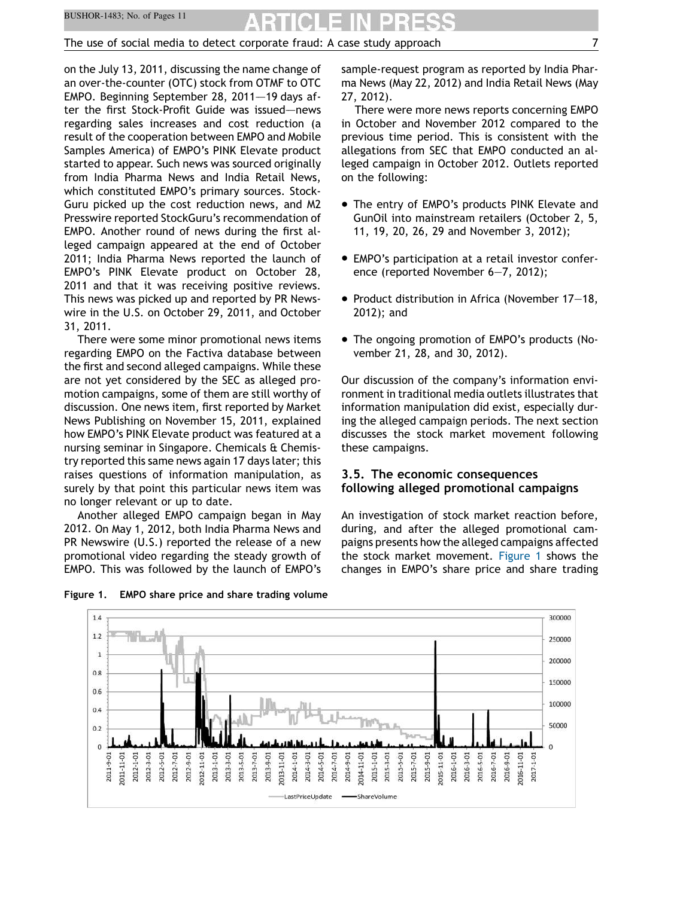The use of social media to detect corporate fraud: A case study approach  $\sim$  7

on the July 13, 2011, discussing the name change of an over-the-counter (OTC) stock from OTMF to OTC EMPO. Beginning September 28, 2011-19 days after the first Stock-Profit Guide was issued–—news regarding sales increases and cost reduction (a result of the cooperation between EMPO and Mobile Samples America) of EMPO's PINK Elevate product started to appear. Such news was sourced originally from India Pharma News and India Retail News, which constituted EMPO's primary sources. Stock-Guru picked up the cost reduction news, and M2 Presswire reported StockGuru's recommendation of EMPO. Another round of news during the first alleged campaign appeared at the end of October 2011; India Pharma News reported the launch of EMPO's PINK Elevate product on October 28, 2011 and that it was receiving positive reviews. This news was picked up and reported by PR Newswire in the U.S. on October 29, 2011, and October 31, 2011.

There were some minor promotional news items regarding EMPO on the Factiva database between the first and second alleged campaigns. While these are not yet considered by the SEC as alleged promotion campaigns, some of them are still worthy of discussion. One news item, first reported by Market News Publishing on November 15, 2011, explained how EMPO's PINK Elevate product was featured at a nursing seminar in Singapore. Chemicals & Chemistry reported this same news again 17 days later; this raises questions of information manipulation, as surely by that point this particular news item was no longer relevant or up to date.

Another alleged EMPO campaign began in May 2012. On May 1, 2012, both India Pharma News and PR Newswire (U.S.) reported the release of a new promotional video regarding the steady growth of EMPO. This was followed by the launch of EMPO's sample-request program as reported by India Pharma News (May 22, 2012) and India Retail News (May 27, 2012).

There were more news reports concerning EMPO in October and November 2012 compared to the previous time period. This is consistent with the allegations from SEC that EMPO conducted an alleged campaign in October 2012. Outlets reported on the following:

- The entry of EMPO's products PINK Elevate and GunOil into mainstream retailers (October 2, 5, 11, 19, 20, 26, 29 and November 3, 2012);
- EMPO's participation at a retail investor conference (reported November 6—7, 2012);
- Product distribution in Africa (November  $17-18$ , 2012); and
- The ongoing promotion of EMPO's products (November 21, 28, and 30, 2012).

Our discussion of the company's information environment in traditional media outlets illustrates that information manipulation did exist, especially during the alleged campaign periods. The next section discusses the stock market movement following these campaigns.

#### 3.5. The economic consequences following alleged promotional campaigns

An investigation of stock market reaction before, during, and after the alleged promotional campaigns presents how the alleged campaigns affected the stock market movement. Figure 1 shows the changes in EMPO's share price and share trading



Figure 1. EMPO share price and share trading volume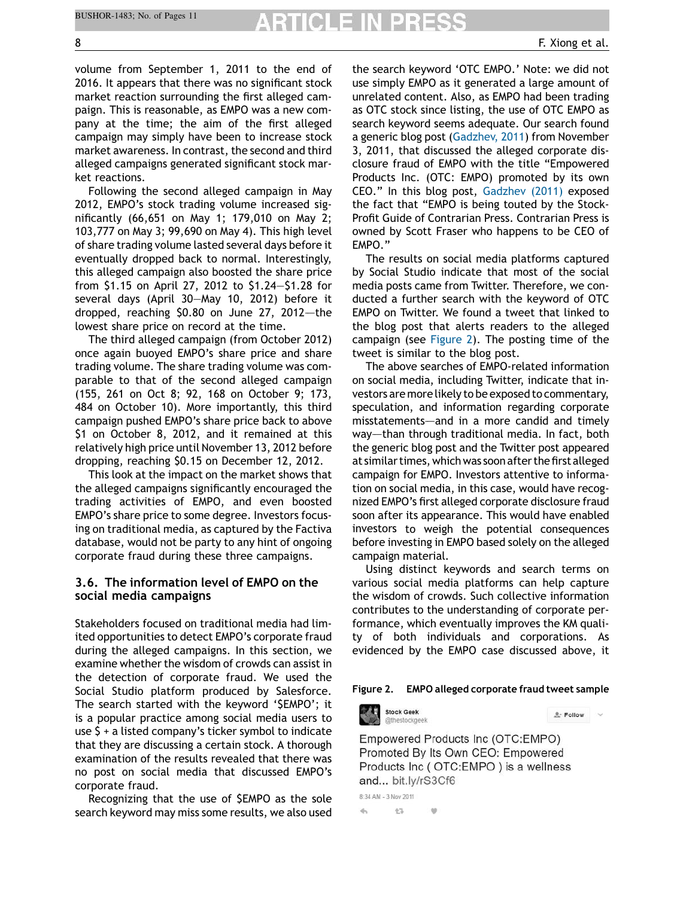volume from September 1, 2011 to the end of 2016. It appears that there was no significant stock market reaction surrounding the first alleged campaign. This is reasonable, as EMPO was a new company at the time; the aim of the first alleged campaign may simply have been to increase stock market awareness. In contrast, the second and third alleged campaigns generated significant stock market reactions.

Following the second alleged campaign in May 2012, EMPO's stock trading volume increased significantly (66,651 on May 1; 179,010 on May 2; 103,777 on May 3; 99,690 on May 4). This high level of share trading volume lasted several days before it eventually dropped back to normal. Interestingly, this alleged campaign also boosted the share price from \$1.15 on April 27, 2012 to \$1.24—\$1.28 for several days (April 30—May 10, 2012) before it dropped, reaching \$0.80 on June 27, 2012–—the lowest share price on record at the time.

The third alleged campaign (from October 2012) once again buoyed EMPO's share price and share trading volume. The share trading volume was comparable to that of the second alleged campaign (155, 261 on Oct 8; 92, 168 on October 9; 173, 484 on October 10). More importantly, this third campaign pushed EMPO's share price back to above \$1 on October 8, 2012, and it remained at this relatively high price until November 13, 2012 before dropping, reaching \$0.15 on December 12, 2012.

This look at the impact on the market shows that the alleged campaigns significantly encouraged the trading activities of EMPO, and even boosted EMPO's share price to some degree. Investors focusing on traditional media, as captured by the Factiva database, would not be party to any hint of ongoing corporate fraud during these three campaigns.

#### 3.6. The information level of EMPO on the social media campaigns

Stakeholders focused on traditional media had limited opportunities to detect EMPO's corporate fraud during the alleged campaigns. In this section, we examine whether the wisdom of crowds can assist in the detection of corporate fraud. We used the Social Studio platform produced by Salesforce. The search started with the keyword '\$EMPO'; it is a popular practice among social media users to use  $\zeta$  + a listed company's ticker symbol to indicate that they are discussing a certain stock. A thorough examination of the results revealed that there was no post on social media that discussed EMPO's corporate fraud.

Recognizing that the use of \$EMPO as the sole search keyword may miss some results, we also used the search keyword 'OTC EMPO.' Note: we did not use simply EMPO as it generated a large amount of unrelated content. Also, as EMPO had been trading as OTC stock since listing, the use of OTC EMPO as search keyword seems adequate. Our search found a generic blog post [\(Gadzhev,](#page-9-0) 2011) from November 3, 2011, that discussed the alleged corporate disclosure fraud of EMPO with the title "Empowered Products Inc. (OTC: EMPO) promoted by its own CEO." In this blog post, [Gadzhev](#page-9-0) (2011) exposed the fact that "EMPO is being touted by the Stock-Profit Guide of Contrarian Press. Contrarian Press is owned by Scott Fraser who happens to be CEO of EMPO."

The results on social media platforms captured by Social Studio indicate that most of the social media posts came from Twitter. Therefore, we conducted a further search with the keyword of OTC EMPO on Twitter. We found a tweet that linked to the blog post that alerts readers to the alleged campaign (see Figure 2). The posting time of the tweet is similar to the blog post.

The above searches of EMPO-related information on social media, including Twitter, indicate that investors are more likely to be exposed to commentary, speculation, and information regarding corporate misstatements–—and in a more candid and timely way–—than through traditional media. In fact, both the generic blog post and the Twitter post appeared at similar times, which was soon after the first alleged campaign for EMPO. Investors attentive to information on social media, in this case, would have recognized EMPO's first alleged corporate disclosure fraud soon after its appearance. This would have enabled investors to weigh the potential consequences before investing in EMPO based solely on the alleged campaign material.

Using distinct keywords and search terms on various social media platforms can help capture the wisdom of crowds. Such collective information contributes to the understanding of corporate performance, which eventually improves the KM quality of both individuals and corporations. As evidenced by the EMPO case discussed above, it

#### Figure 2. EMPO alleged corporate fraud tweet sample



 $2 -$  Follow

Empowered Products Inc (OTC:EMPO) Promoted By Its Own CEO: Empowered Products Inc (OTC:EMPO) is a wellness and... bit.ly/rS3Cf6

8:34 AM - 3 Nov 2011  $\frac{1}{2}$ 43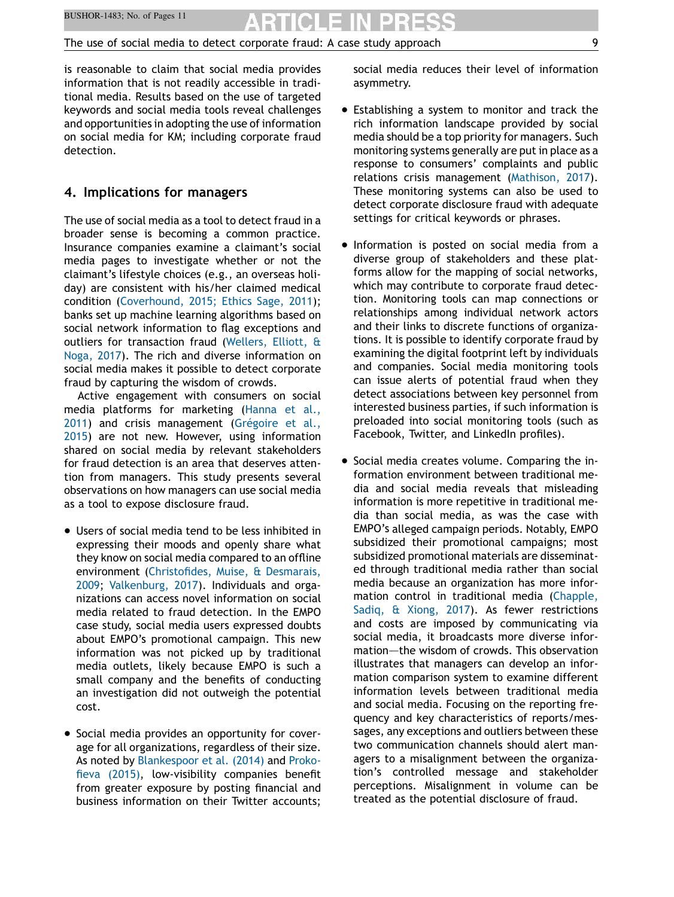### The use of social media to detect corporate fraud: A case study approach  $\overline{9}$

is reasonable to claim that social media provides information that is not readily accessible in traditional media. Results based on the use of targeted keywords and social media tools reveal challenges and opportunities in adopting the use of information on social media for KM; including corporate fraud detection.

### 4. Implications for managers

The use of social media as a tool to detect fraud in a broader sense is becoming a common practice. Insurance companies examine a claimant's social media pages to investigate whether or not the claimant's lifestyle choices (e.g., an overseas holiday) are consistent with his/her claimed medical condition [\(Coverhound,](#page-9-0) 2015; Ethics Sage, 2011); banks set up machine learning algorithms based on social network information to flag exceptions and outliers for transaction fraud [\(Wellers,](#page-10-0) Elliott, & [Noga,](#page-10-0) 2017). The rich and diverse information on social media makes it possible to detect corporate fraud by capturing the wisdom of crowds.

Active engagement with consumers on social media platforms for marketing ([Hanna](#page-10-0) et al., [2011\)](#page-10-0) and crisis management [\(Grégoire](#page-10-0) et al., [2015\)](#page-10-0) are not new. However, using information shared on social media by relevant stakeholders for fraud detection is an area that deserves attention from managers. This study presents several observations on how managers can use social media as a tool to expose disclosure fraud.

- Users of social media tend to be less inhibited in expressing their moods and openly share what they know on social media compared to an offline environment (Christofides, Muise, & [Desmarais,](#page-9-0) [2009](#page-9-0); [Valkenburg,](#page-10-0) 2017). Individuals and organizations can access novel information on social media related to fraud detection. In the EMPO case study, social media users expressed doubts about EMPO's promotional campaign. This new information was not picked up by traditional media outlets, likely because EMPO is such a small company and the benefits of conducting an investigation did not outweigh the potential cost.
- Social media provides an opportunity for coverage for all organizations, regardless of their size. As noted by [Blankespoor](#page-9-0) et al. (2014) and [Proko](#page-10-0)fieva [\(2015\),](#page-10-0) low-visibility companies benefit from greater exposure by posting financial and business information on their Twitter accounts;

social media reduces their level of information asymmetry.

- Establishing a system to monitor and track the rich information landscape provided by social media should be a top priority for managers. Such monitoring systems generally are put in place as a response to consumers' complaints and public relations crisis management [\(Mathison,](#page-10-0) 2017). These monitoring systems can also be used to detect corporate disclosure fraud with adequate settings for critical keywords or phrases.
- Information is posted on social media from a diverse group of stakeholders and these platforms allow for the mapping of social networks, which may contribute to corporate fraud detection. Monitoring tools can map connections or relationships among individual network actors and their links to discrete functions of organizations. It is possible to identify corporate fraud by examining the digital footprint left by individuals and companies. Social media monitoring tools can issue alerts of potential fraud when they detect associations between key personnel from interested business parties, if such information is preloaded into social monitoring tools (such as Facebook, Twitter, and LinkedIn profiles).
- Social media creates volume. Comparing the information environment between traditional media and social media reveals that misleading information is more repetitive in traditional media than social media, as was the case with EMPO's alleged campaign periods. Notably, EMPO subsidized their promotional campaigns; most subsidized promotional materials are disseminated through traditional media rather than social media because an organization has more information control in traditional media [\(Chapple,](#page-9-0) Sadiq, & [Xiong,](#page-9-0) 2017). As fewer restrictions and costs are imposed by communicating via social media, it broadcasts more diverse information–—the wisdom of crowds. This observation illustrates that managers can develop an information comparison system to examine different information levels between traditional media and social media. Focusing on the reporting frequency and key characteristics of reports/messages, any exceptions and outliers between these two communication channels should alert managers to a misalignment between the organization's controlled message and stakeholder perceptions. Misalignment in volume can be treated as the potential disclosure of fraud.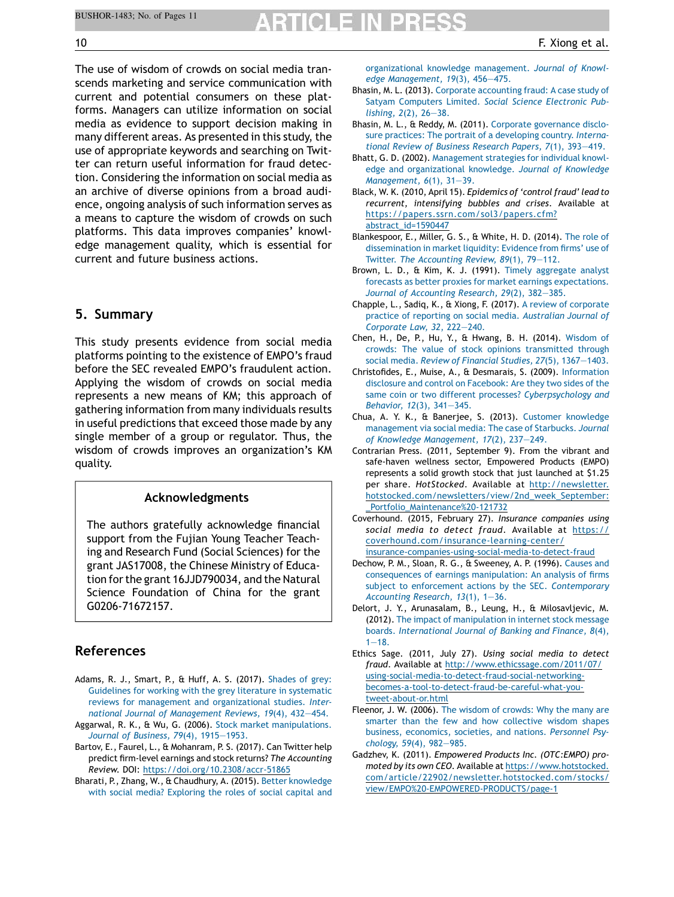## ARTICI E IN PRI

<span id="page-9-0"></span>The use of wisdom of crowds on social media transcends marketing and service communication with current and potential consumers on these platforms. Managers can utilize information on social media as evidence to support decision making in many different areas. As presented in this study, the use of appropriate keywords and searching on Twitter can return useful information for fraud detection. Considering the information on social media as an archive of diverse opinions from a broad audience, ongoing analysis of such information serves as a means to capture the wisdom of crowds on such platforms. This data improves companies' knowledge management quality, which is essential for current and future business actions.

### 5. Summary

This study presents evidence from social media platforms pointing to the existence of EMPO's fraud before the SEC revealed EMPO's fraudulent action. Applying the wisdom of crowds on social media represents a new means of KM; this approach of gathering information from many individuals results in useful predictions that exceed those made by any single member of a group or regulator. Thus, the wisdom of crowds improves an organization's KM quality.

#### Acknowledgments

The authors gratefully acknowledge financial support from the Fujian Young Teacher Teaching and Research Fund (Social Sciences) for the grant JAS17008, the Chinese Ministry of Education for the grant 16JJD790034, and the Natural Science Foundation of China for the grant G0206-71672157.

## References

- Adams, R. J., Smart, P., & Huff, A. S. (2017). [Shades](http://refhub.elsevier.com/S0007-6813(18)30064-8/sbref0005) of grey: Guidelines for working with the grey literature in [systematic](http://refhub.elsevier.com/S0007-6813(18)30064-8/sbref0005) reviews for management and [organizational](http://refhub.elsevier.com/S0007-6813(18)30064-8/sbref0005) studies. International Journal of [Management](http://refhub.elsevier.com/S0007-6813(18)30064-8/sbref0005) Reviews, 19(4), 432—454.
- Aggarwal, R. K., & Wu, G. (2006). Stock market [manipulations.](http://refhub.elsevier.com/S0007-6813(18)30064-8/sbref0010) Journal of [Business,](http://refhub.elsevier.com/S0007-6813(18)30064-8/sbref0010) 79(4), 1915—1953.
- Bartov, E., Faurel, L., & Mohanram, P. S. (2017). Can Twitter help predict firm-level earnings and stock returns? The Accounting Review. DOI: <https://doi.org/10.2308/accr-51865>
- Bharati, P., Zhang, W., & Chaudhury, A. (2015). Better [knowledge](http://refhub.elsevier.com/S0007-6813(18)30064-8/sbref0020) with social media? [Exploring](http://refhub.elsevier.com/S0007-6813(18)30064-8/sbref0020) the roles of social capital and

[organizational](http://refhub.elsevier.com/S0007-6813(18)30064-8/sbref0020) knowledge management. Journal of Knowledge [Management,](http://refhub.elsevier.com/S0007-6813(18)30064-8/sbref0020) 19(3), 456—475.

- Bhasin, M. L. (2013). Corporate [accounting](http://refhub.elsevier.com/S0007-6813(18)30064-8/sbref0025) fraud: A case study of Satyam [Computers](http://refhub.elsevier.com/S0007-6813(18)30064-8/sbref0025) Limited. Social Science Electronic Pub[lishing,](http://refhub.elsevier.com/S0007-6813(18)30064-8/sbref0025) 2(2), 26—38.
- Bhasin, M. L., & Reddy, M. (2011). Corporate [governance](http://refhub.elsevier.com/S0007-6813(18)30064-8/sbref0030) disclosure practices: The portrait of a [developing](http://refhub.elsevier.com/S0007-6813(18)30064-8/sbref0030) country. International Review of Business [Research](http://refhub.elsevier.com/S0007-6813(18)30064-8/sbref0030) Papers, 7(1), 393—419.
- Bhatt, G. D. (2002). [Management](http://refhub.elsevier.com/S0007-6813(18)30064-8/sbref0035) strategies for individual knowledge and [organizational](http://refhub.elsevier.com/S0007-6813(18)30064-8/sbref0035) knowledge. Journal of Knowledge [Management,](http://refhub.elsevier.com/S0007-6813(18)30064-8/sbref0035) 6(1), 31—39.
- Black, W. K. (2010, April 15). Epidemics of 'control fraud' lead to recurrent, intensifying bubbles and crises. Available at [https://papers.ssrn.com/sol3/papers.cfm?](https://papers.ssrn.com/sol3/papers.cfm?abstract_id=1590447) [abstract\\_id=1590447](https://papers.ssrn.com/sol3/papers.cfm?abstract_id=1590447)
- Blankespoor, E., Miller, G. S., & White, H. D. (2014). The [role](http://refhub.elsevier.com/S0007-6813(18)30064-8/sbref0045) of [dissemination](http://refhub.elsevier.com/S0007-6813(18)30064-8/sbref0045) in market liquidity: Evidence from firms' use of Twitter. The [Accounting](http://refhub.elsevier.com/S0007-6813(18)30064-8/sbref0045) Review, 89(1), 79—112.
- Brown, L. D., & Kim, K. J. (1991). Timely [aggregate](http://refhub.elsevier.com/S0007-6813(18)30064-8/sbref0050) analyst forecasts as better proxies for market earnings [expectations.](http://refhub.elsevier.com/S0007-6813(18)30064-8/sbref0050) Journal of [Accounting](http://refhub.elsevier.com/S0007-6813(18)30064-8/sbref0050) Research, 29(2), 382—385.
- Chapple, L., Sadiq, K., & Xiong, F. (2017). A review of [corporate](http://refhub.elsevier.com/S0007-6813(18)30064-8/sbref0055) practice of reporting on social media. [Australian](http://refhub.elsevier.com/S0007-6813(18)30064-8/sbref0055) Journal of [Corporate](http://refhub.elsevier.com/S0007-6813(18)30064-8/sbref0055) Law, 32, 222—240.
- Chen, H., De, P., Hu, Y., & Hwang, B. H. (2014). [Wisdom](http://refhub.elsevier.com/S0007-6813(18)30064-8/sbref0060) of crowds: The value of stock opinions [transmitted](http://refhub.elsevier.com/S0007-6813(18)30064-8/sbref0060) through social media. Review of [Financial](http://refhub.elsevier.com/S0007-6813(18)30064-8/sbref0060) Studies, 27(5), 1367—1403.
- Christofides, E., Muise, A., & Desmarais, S. (2009). [Information](http://refhub.elsevier.com/S0007-6813(18)30064-8/sbref0065) disclosure and control on [Facebook:](http://refhub.elsevier.com/S0007-6813(18)30064-8/sbref0065) Are they two sides of the same coin or two different processes? [Cyberpsychology](http://refhub.elsevier.com/S0007-6813(18)30064-8/sbref0065) and [Behavior,](http://refhub.elsevier.com/S0007-6813(18)30064-8/sbref0065) 12(3), 341—345.
- Chua, A. Y. K., & Banerjee, S. (2013). Customer [knowledge](http://refhub.elsevier.com/S0007-6813(18)30064-8/sbref0070) [management](http://refhub.elsevier.com/S0007-6813(18)30064-8/sbref0070) via social media: The case of Starbucks. Journal of Knowledge [Management,](http://refhub.elsevier.com/S0007-6813(18)30064-8/sbref0070) 17(2), 237—249.
- Contrarian Press. (2011, September 9). From the vibrant and safe-haven wellness sector, Empowered Products (EMPO) represents a solid growth stock that just launched at \$1.25 per share. HotStocked. Available at [http://newsletter.](http://newsletter.hotstocked.com/newsletters/view/2nd_week_September:_Portfolio_Maintenance -121732) [hotstocked.com/newsletters/view/2nd\\_week\\_September:](http://newsletter.hotstocked.com/newsletters/view/2nd_week_September:_Portfolio_Maintenance -121732) [\\_Portfolio\\_Maintenance%20-121732](http://newsletter.hotstocked.com/newsletters/view/2nd_week_September:_Portfolio_Maintenance -121732)
- Coverhound. (2015, February 27). Insurance companies using social media to detect fraud. Available at [https://](https://coverhound.com/insurance-learning-center/insurance-companies-using-social-media-to-detect-fraud) [coverhound.com/insurance-learning-center/](https://coverhound.com/insurance-learning-center/insurance-companies-using-social-media-to-detect-fraud) [insurance-companies-using-social-media-to-detect-fraud](https://coverhound.com/insurance-learning-center/insurance-companies-using-social-media-to-detect-fraud)
- Dechow, P. M., Sloan, R. G., & Sweeney, A. P. (1996). [Causes](http://refhub.elsevier.com/S0007-6813(18)30064-8/sbref0085) and consequences of earnings [manipulation:](http://refhub.elsevier.com/S0007-6813(18)30064-8/sbref0085) An analysis of firms subject to enforcement actions by the SEC. [Contemporary](http://refhub.elsevier.com/S0007-6813(18)30064-8/sbref0085) [Accounting](http://refhub.elsevier.com/S0007-6813(18)30064-8/sbref0085) Research, 13(1), 1—36.
- Delort, J. Y., Arunasalam, B., Leung, H., & Milosavljevic, M. (2012). The impact of [manipulation](http://refhub.elsevier.com/S0007-6813(18)30064-8/sbref0090) in internet stock message boards. [International](http://refhub.elsevier.com/S0007-6813(18)30064-8/sbref0090) Journal of Banking and Finance, 8(4),  $1 - 18.$  $1 - 18.$
- Ethics Sage. (2011, July 27). Using social media to detect fraud. Available at [http://www.ethicssage.com/2011/07/](http://www.ethicssage.com/2011/07/using-social-media-to-detect-fraud-social-networking-becomes-a-tool-to-detect-fraud-be-careful-what-you-tweet-about-or.html) [using-social-media-to-detect-fraud-social-networking](http://www.ethicssage.com/2011/07/using-social-media-to-detect-fraud-social-networking-becomes-a-tool-to-detect-fraud-be-careful-what-you-tweet-about-or.html)[becomes-a-tool-to-detect-fraud-be-careful-what-you](http://www.ethicssage.com/2011/07/using-social-media-to-detect-fraud-social-networking-becomes-a-tool-to-detect-fraud-be-careful-what-you-tweet-about-or.html)[tweet-about-or.html](http://www.ethicssage.com/2011/07/using-social-media-to-detect-fraud-social-networking-becomes-a-tool-to-detect-fraud-be-careful-what-you-tweet-about-or.html)
- Fleenor, J. W. (2006). The wisdom of [crowds:](http://refhub.elsevier.com/S0007-6813(18)30064-8/sbref0100) Why the many are smarter than the few and how [collective](http://refhub.elsevier.com/S0007-6813(18)30064-8/sbref0100) wisdom shapes business, [economics,](http://refhub.elsevier.com/S0007-6813(18)30064-8/sbref0100) societies, and nations. Personnel Psy[chology,](http://refhub.elsevier.com/S0007-6813(18)30064-8/sbref0100) 59(4), 982—985.
- Gadzhev, K. (2011). Empowered Products Inc. (OTC:EMPO) promoted by its own CEO. Available at [https://www.hotstocked.](https://www.hotstocked.com/article/22902/newsletter.hotstocked.com/stocks/view/EMPO -EMPOWERED-PRODUCTS/page-1) [com/article/22902/newsletter.hotstocked.com/stocks/](https://www.hotstocked.com/article/22902/newsletter.hotstocked.com/stocks/view/EMPO -EMPOWERED-PRODUCTS/page-1) [view/EMPO%20-EMPOWERED-PRODUCTS/page-1](https://www.hotstocked.com/article/22902/newsletter.hotstocked.com/stocks/view/EMPO -EMPOWERED-PRODUCTS/page-1)